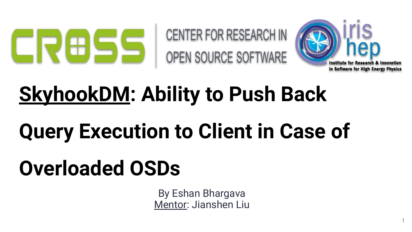

CENTER FOR RESEARCH IN OPEN SOURCE SOFTWARE



1

# **SkyhookDM: Ability to Push Back**

# **Query Execution to Client in Case of**

# **Overloaded OSDs**

By Eshan Bhargava Mentor: Jianshen Liu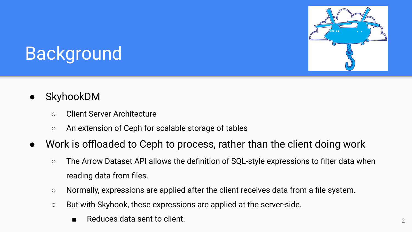

# **Background**

- **SkyhookDM** 
	- Client Server Architecture
	- An extension of Ceph for scalable storage of tables
- Work is offloaded to Ceph to process, rather than the client doing work
	- The Arrow Dataset API allows the definition of SQL-style expressions to filter data when reading data from files.
	- Normally, expressions are applied after the client receives data from a file system.
	- But with Skyhook, these expressions are applied at the server-side.
		- and Reduces data sent to client.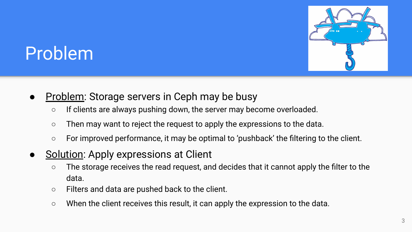

# Problem

- **Problem:** Storage servers in Ceph may be busy
	- If clients are always pushing down, the server may become overloaded.
	- Then may want to reject the request to apply the expressions to the data.
	- For improved performance, it may be optimal to 'pushback' the filtering to the client.
- Solution: Apply expressions at Client
	- The storage receives the read request, and decides that it cannot apply the filter to the data.
	- Filters and data are pushed back to the client.
	- When the client receives this result, it can apply the expression to the data.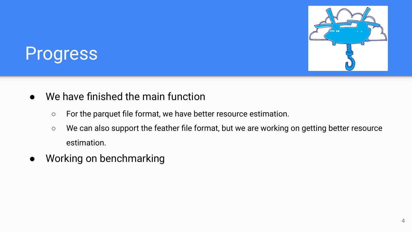

#### Progress

- We have finished the main function
	- For the parquet file format, we have better resource estimation.
	- We can also support the feather file format, but we are working on getting better resource estimation.
- Working on benchmarking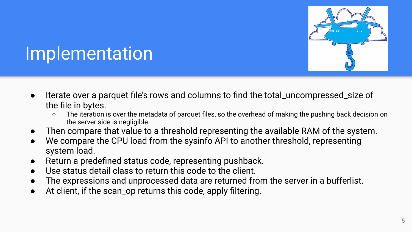

- Iterate over a parquet file's rows and columns to find the total\_uncompressed\_size of the file in bytes.
	- The iteration is over the metadata of parquet files, so the overhead of making the pushing back decision on the server side is negligible.
- Then compare that value to a threshold representing the available RAM of the system.
- We compare the CPU load from the sysinfo API to another threshold, representing system load.
- Return a predefined status code, representing pushback.
- Use status detail class to return this code to the client.
- The expressions and unprocessed data are returned from the server in a bufferlist.
- At client, if the scan\_op returns this code, apply filtering.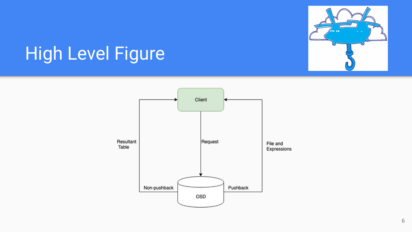

# High Level Figure

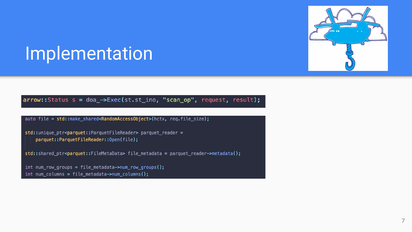

#### arrow::Status s = doa\_->Exec(st.st\_ino, "scan\_op", request, result);

auto file = std::make shared<RandomAccessObject>(hctx, req.file size);

std::unique ptr<parquet::ParquetFileReader> parquet reader = parquet::ParquetFileReader::Open(file);

std::shared\_ptr<parquet::FileMetaData> file\_metadata = parquet\_reader->metadata();

int num\_row\_groups = file\_metadata->num\_row\_groups();  $int num_{colums} = file_{metadata->num_{colums}($ ;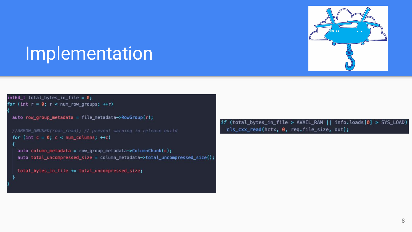

 $int64_t$  total bytes in file = 0; for (int  $r = 0$ ;  $r < num_{row_{q}}$  aroups; ++r)

```
auto row_group_metadata = file_metadata->RowGroup(r);
```

```
for (int c = 0; c < num columns; ++c)
```

```
auto column metadata = row group metadata->ColumnChunk(c);
auto total_uncompressed_size = column_metadata->total_uncompressed_size();
```

```
total_bytes_in_file += total_uncompressed_size;
```
if (total\_bytes\_in\_file > AVAIL\_RAM || info.loads[0] > SYS\_LOAD) cls\_cxx\_read(hctx, 0, req.file\_size, out);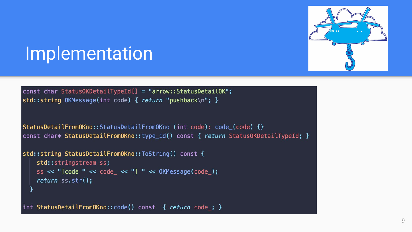

const char StatusOKDetailTypeId[] = "arrow::StatusDetailOK"; std::string OKMessage(int code) { return "pushback\n"; }

```
StatusDetailFromOKno::StatusDetailFromOKno (int code): code_(code) {}
const char* StatusDetailFromOKno::type_id() const { return StatusOKDetailTypeId; }
```

```
std::string StatusDetailFromOKno::ToString() const {
    std::stringstream ss;
    ss << "[code " << code_ << "] " << 0KMessage(code_);
    return ss.str();
```
int StatusDetailFromOKno::code() const { return code ; }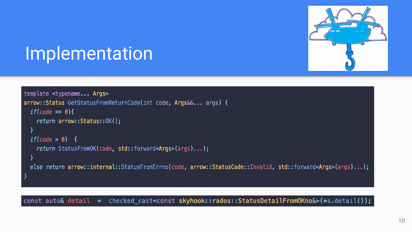

```
template <typename... Args>
arrow::Status GetStatusFromReturnCode(int code, Args&&... args) {
  if(\text{code} == 0)return arrow::Status::0K();
  if(\text{code} > 0) {
    return StatusFromOK(code, std::forward<Args>(args)...);
  }
 else return arrow::internal::StatusFromErrno(code, arrow::StatusCode::Invalid, std::forward<Args>(args)...);
```
const auto& detail = checked\_cast<const skyhook::rados::StatusDetailFromOKno&>(\*s.detail());